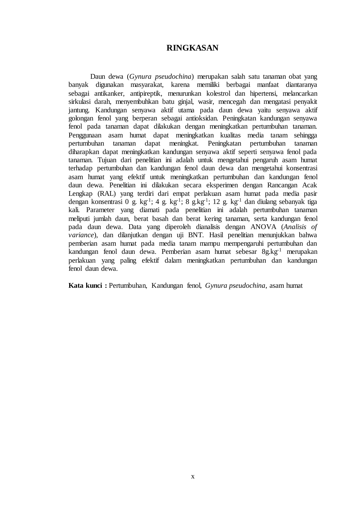## **RINGKASAN**

Daun dewa (*Gynura pseudochina*) merupakan salah satu tanaman obat yang banyak digunakan masyarakat, karena memiliki berbagai manfaat diantaranya sebagai antikanker, antipireptik, menurunkan kolestrol dan hipertensi, melancarkan sirkulasi darah, menyembuhkan batu ginjal, wasir, mencegah dan mengatasi penyakit jantung. Kandungan senyawa aktif utama pada daun dewa yaitu senyawa aktif golongan fenol yang berperan sebagai antioksidan. Peningkatan kandungan senyawa fenol pada tanaman dapat dilakukan dengan meningkatkan pertumbuhan tanaman. Penggunaan asam humat dapat meningkatkan kualitas media tanam sehingga Peningkatan pertumbuhan tanaman diharapkan dapat meningkatkan kandungan senyawa aktif seperti senyawa fenol pada tanaman. Tujuan dari penelitian ini adalah untuk mengetahui pengaruh asam humat terhadap pertumbuhan dan kandungan fenol daun dewa dan mengetahui konsentrasi asam humat yang efektif untuk meningkatkan pertumbuhan dan kandungan fenol daun dewa. Penelitian ini dilakukan secara eksperimen dengan Rancangan Acak Lengkap (RAL) yang terdiri dari empat perlakuan asam humat pada media pasir dengan konsentrasi 0 g. kg<sup>-1</sup>; 4 g. kg<sup>-1</sup>; 8 g.kg<sup>-1</sup>; 12 g. kg<sup>-1</sup> dan diulang sebanyak tiga kali. Parameter yang diamati pada penelitian ini adalah pertumbuhan tanaman meliputi jumlah daun, berat basah dan berat kering tanaman, serta kandungan fenol pada daun dewa. Data yang diperoleh dianalisis dengan ANOVA (*Analisis of variance*), dan dilanjutkan dengan uji BNT. Hasil penelitian menunjukkan bahwa pemberian asam humat pada media tanam mampu mempengaruhi pertumbuhan dan kandungan fenol daun dewa. Pemberian asam humat sebesar 8g.kg-1 merupakan perlakuan yang paling efektif dalam meningkatkan pertumbuhan dan kandungan fenol daun dewa.

**Kata kunci :** Pertumbuhan, Kandungan fenol, *Gynura pseudochina*, asam humat